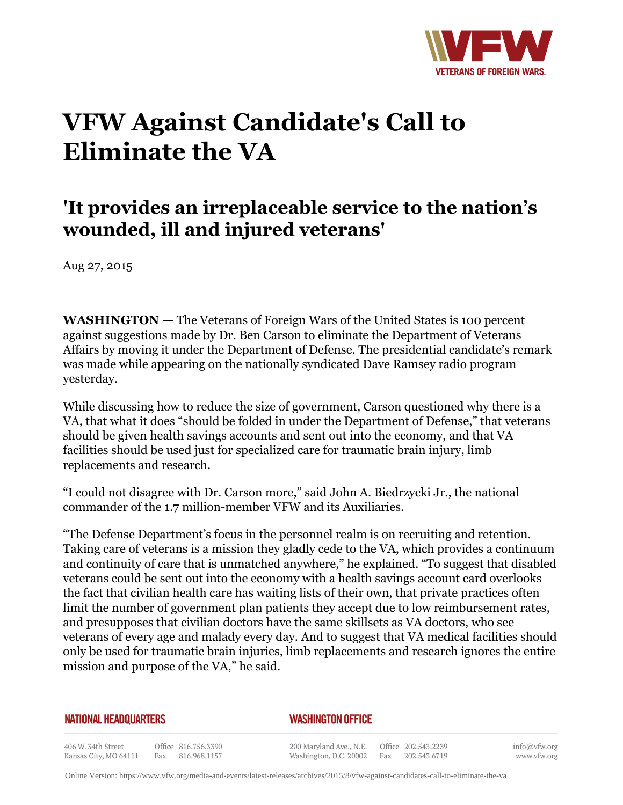

## **VFW Against Candidate's Call to Eliminate the VA**

## **'It provides an irreplaceable service to the nation's wounded, ill and injured veterans'**

Aug 27, 2015

**WASHINGTON —** The Veterans of Foreign Wars of the United States is 100 percent against suggestions made by Dr. Ben Carson to eliminate the Department of Veterans Affairs by moving it under the Department of Defense. The presidential candidate's remark was made while appearing on the nationally syndicated Dave Ramsey radio program yesterday.

While discussing how to reduce the size of government, Carson questioned why there is a VA, that what it does "should be folded in under the Department of Defense," that veterans should be given health savings accounts and sent out into the economy, and that VA facilities should be used just for specialized care for traumatic brain injury, limb replacements and research.

"I could not disagree with Dr. Carson more," said John A. Biedrzycki Jr., the national commander of the 1.7 million-member VFW and its Auxiliaries.

"The Defense Department's focus in the personnel realm is on recruiting and retention. Taking care of veterans is a mission they gladly cede to the VA, which provides a continuum and continuity of care that is unmatched anywhere," he explained. "To suggest that disabled veterans could be sent out into the economy with a health savings account card overlooks the fact that civilian health care has waiting lists of their own, that private practices often limit the number of government plan patients they accept due to low reimbursement rates, and presupposes that civilian doctors have the same skillsets as VA doctors, who see veterans of every age and malady every day. And to suggest that VA medical facilities should only be used for traumatic brain injuries, limb replacements and research ignores the entire mission and purpose of the VA," he said.

## **NATIONAL HEADQUARTERS**

## *WASHINGTON OFFICE*

406 W. 34th Street Office 816.756.3390 Kansas City, MO 64111 Fax 816.968.1157

200 Maryland Ave., N.E. Washington, D.C. 20002

Office 202.543.2239 Fax 202.543.6719

info@vfw.org www.vfw.org

Online Version:<https://www.vfw.org/media-and-events/latest-releases/archives/2015/8/vfw-against-candidates-call-to-eliminate-the-va>